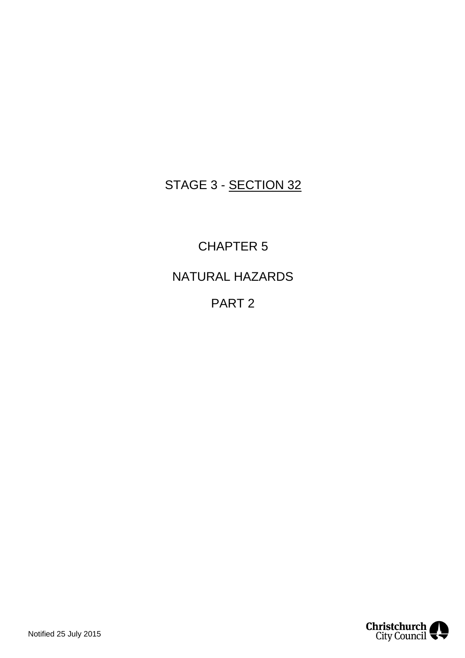# STAGE 3 - SECTION 32

CHAPTER 5 NATURAL HAZARDS PART 2

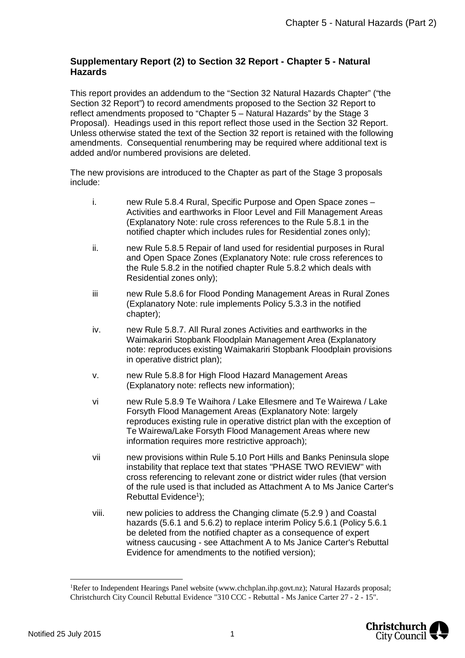## **Supplementary Report (2) to Section 32 Report - Chapter 5 - Natural Hazards**

This report provides an addendum to the "Section 32 Natural Hazards Chapter" ("the Section 32 Report") to record amendments proposed to the Section 32 Report to reflect amendments proposed to "Chapter 5 – Natural Hazards" by the Stage 3 Proposal). Headings used in this report reflect those used in the Section 32 Report. Unless otherwise stated the text of the Section 32 report is retained with the following amendments. Consequential renumbering may be required where additional text is added and/or numbered provisions are deleted.

The new provisions are introduced to the Chapter as part of the Stage 3 proposals include:

| i. | new Rule 5.8.4 Rural, Specific Purpose and Open Space zones -<br>Activities and earthworks in Floor Level and Fill Management Areas<br>(Explanatory Note: rule cross references to the Rule 5.8.1 in the<br>notified chapter which includes rules for Residential zones only); |
|----|--------------------------------------------------------------------------------------------------------------------------------------------------------------------------------------------------------------------------------------------------------------------------------|
|    |                                                                                                                                                                                                                                                                                |

- ii. new Rule 5.8.5 Repair of land used for residential purposes in Rural and Open Space Zones (Explanatory Note: rule cross references to the Rule 5.8.2 in the notified chapter Rule 5.8.2 which deals with Residential zones only);
- iii new Rule 5.8.6 for Flood Ponding Management Areas in Rural Zones (Explanatory Note: rule implements Policy 5.3.3 in the notified chapter);
- iv. new Rule 5.8.7. All Rural zones Activities and earthworks in the Waimakariri Stopbank Floodplain Management Area (Explanatory note: reproduces existing Waimakariri Stopbank Floodplain provisions in operative district plan);
- v. new Rule 5.8.8 for High Flood Hazard Management Areas (Explanatory note: reflects new information);
- vi new Rule 5.8.9 Te Waihora / Lake Ellesmere and Te Wairewa / Lake Forsyth Flood Management Areas (Explanatory Note: largely reproduces existing rule in operative district plan with the exception of Te Wairewa/Lake Forsyth Flood Management Areas where new information requires more restrictive approach);
- vii new provisions within Rule 5.10 Port Hills and Banks Peninsula slope instability that replace text that states "PHASE TWO REVIEW" with cross referencing to relevant zone or district wider rules (that version of the rule used is that included as Attachment A to Ms Janice Carter's Rebuttal Evidence<sup>[1](#page-1-0)</sup>);
- viii. new policies to address the Changing climate (5.2.9 ) and Coastal hazards (5.6.1 and 5.6.2) to replace interim Policy 5.6.1 (Policy 5.6.1 be deleted from the notified chapter as a consequence of expert witness caucusing - see Attachment A to Ms Janice Carter's Rebuttal Evidence for amendments to the notified version);

<span id="page-1-0"></span><sup>1</sup>Refer to Independent Hearings Panel website (www.chchplan.ihp.govt.nz); Natural Hazards proposal; Christchurch City Council Rebuttal Evidence "310 CCC - Rebuttal - Ms Janice Carter 27 - 2 - 15".

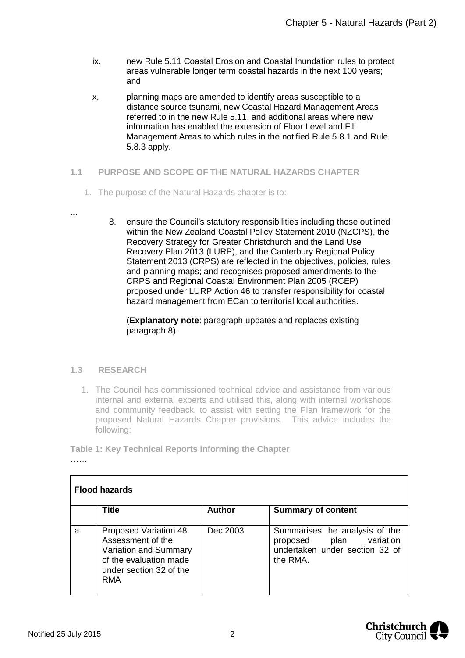- ix. new Rule 5.11 Coastal Erosion and Coastal Inundation rules to protect areas vulnerable longer term coastal hazards in the next 100 years; and
- x. planning maps are amended to identify areas susceptible to a distance source tsunami, new Coastal Hazard Management Areas referred to in the new Rule 5.11, and additional areas where new information has enabled the extension of Floor Level and Fill Management Areas to which rules in the notified Rule 5.8.1 and Rule 5.8.3 apply.
- **1.1 PURPOSE AND SCOPE OF THE NATURAL HAZARDS CHAPTER**
	- 1. The purpose of the Natural Hazards chapter is to:
- ...
- 8. ensure the Council's statutory responsibilities including those outlined within the New Zealand Coastal Policy Statement 2010 (NZCPS), the Recovery Strategy for Greater Christchurch and the Land Use Recovery Plan 2013 (LURP), and the Canterbury Regional Policy Statement 2013 (CRPS) are reflected in the objectives, policies, rules and planning maps; and recognises proposed amendments to the CRPS and Regional Coastal Environment Plan 2005 (RCEP) proposed under LURP Action 46 to transfer responsibility for coastal hazard management from ECan to territorial local authorities.

(**Explanatory note**: paragraph updates and replaces existing paragraph 8).

## **1.3 RESEARCH**

1. The Council has commissioned technical advice and assistance from various internal and external experts and utilised this, along with internal workshops and community feedback, to assist with setting the Plan framework for the proposed Natural Hazards Chapter provisions. This advice includes the following:

**Table 1: Key Technical Reports informing the Chapter** ……

| <b>Flood hazards</b> |                                                                                                                                        |               |                                                                                                            |
|----------------------|----------------------------------------------------------------------------------------------------------------------------------------|---------------|------------------------------------------------------------------------------------------------------------|
|                      | <b>Title</b>                                                                                                                           | <b>Author</b> | <b>Summary of content</b>                                                                                  |
| a                    | <b>Proposed Variation 48</b><br>Assessment of the<br>Variation and Summary<br>of the evaluation made<br>under section 32 of the<br>RMA | Dec 2003      | Summarises the analysis of the<br>plan variation<br>proposed<br>undertaken under section 32 of<br>the RMA. |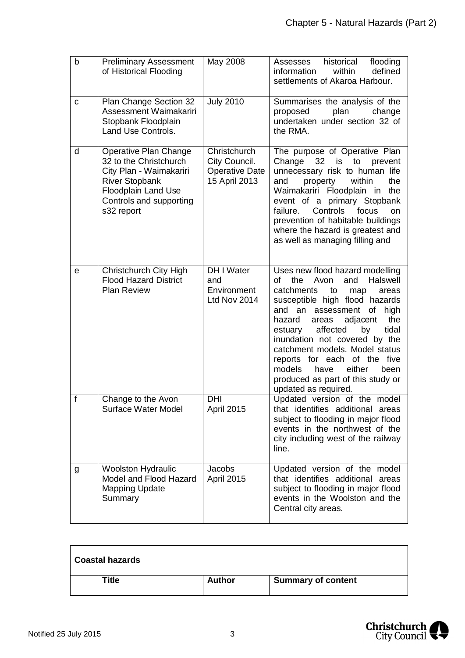| $\mathsf b$  | <b>Preliminary Assessment</b><br>of Historical Flooding                                                                                                                    | May 2008                                                                | historical<br>flooding<br>Assesses<br>defined<br>within<br>information<br>settlements of Akaroa Harbour.                                                                                                                                                                                                                                                                                                                                                            |
|--------------|----------------------------------------------------------------------------------------------------------------------------------------------------------------------------|-------------------------------------------------------------------------|---------------------------------------------------------------------------------------------------------------------------------------------------------------------------------------------------------------------------------------------------------------------------------------------------------------------------------------------------------------------------------------------------------------------------------------------------------------------|
| C            | Plan Change Section 32<br>Assessment Waimakariri<br>Stopbank Floodplain<br>Land Use Controls.                                                                              | <b>July 2010</b>                                                        | Summarises the analysis of the<br>proposed<br>plan<br>change<br>undertaken under section 32 of<br>the RMA.                                                                                                                                                                                                                                                                                                                                                          |
| d            | Operative Plan Change<br>32 to the Christchurch<br>City Plan - Waimakariri<br><b>River Stopbank</b><br><b>Floodplain Land Use</b><br>Controls and supporting<br>s32 report | Christchurch<br>City Council.<br><b>Operative Date</b><br>15 April 2013 | The purpose of Operative Plan<br>Change<br>32<br>is<br>to<br>prevent<br>unnecessary risk to human life<br>property<br>within<br>the<br>and<br>Waimakariri Floodplain in<br>the<br>event of a primary Stopbank<br>failure.<br>Controls<br>focus<br>on<br>prevention of habitable buildings<br>where the hazard is greatest and<br>as well as managing filling and                                                                                                    |
| е            | Christchurch City High<br><b>Flood Hazard District</b><br><b>Plan Review</b>                                                                                               | DH I Water<br>and<br>Environment<br>Ltd Nov 2014                        | Uses new flood hazard modelling<br>the<br>Halswell<br>Ωf<br>Avon<br>and<br>catchments<br>to<br>map<br>areas<br>susceptible high flood hazards<br>assessment<br>high<br>and an<br>οf<br>the<br>adjacent<br>hazard<br>areas<br>tidal<br>affected<br>estuary<br>by<br>inundation not covered by the<br>catchment models. Model status<br>reports for each of the five<br>either<br>models<br>have<br>been<br>produced as part of this study or<br>updated as required. |
| $\mathbf{f}$ | Change to the Avon<br><b>Surface Water Model</b>                                                                                                                           | <b>DHI</b><br>April 2015                                                | Updated version of the model<br>that identifies additional areas<br>subject to flooding in major flood<br>events in the northwest of the<br>city including west of the railway<br>line.                                                                                                                                                                                                                                                                             |
| g            | <b>Woolston Hydraulic</b><br>Model and Flood Hazard<br><b>Mapping Update</b><br>Summary                                                                                    | <b>Jacobs</b><br>April 2015                                             | Updated version of the model<br>that identifies additional areas<br>subject to flooding in major flood<br>events in the Woolston and the<br>Central city areas.                                                                                                                                                                                                                                                                                                     |

| <b>Coastal hazards</b> |               |                           |
|------------------------|---------------|---------------------------|
| Title                  | <b>Author</b> | <b>Summary of content</b> |

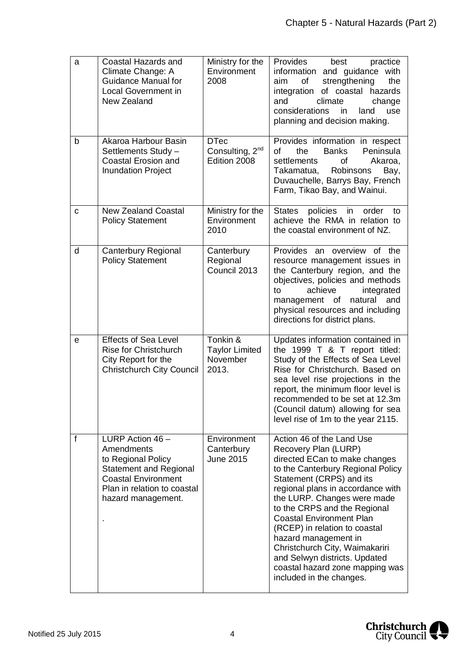| a | Coastal Hazards and<br>Climate Change: A<br><b>Guidance Manual for</b><br><b>Local Government in</b><br>New Zealand                                                        | Ministry for the<br>Environment<br>2008                    | Provides<br>best<br>practice<br>and guidance with<br>information<br>strengthening<br>the<br>of<br>aim<br>integration of coastal hazards<br>climate<br>and<br>change<br>considerations<br>in<br>land<br>use<br>planning and decision making.                                                                                                                                                                                                                                           |
|---|----------------------------------------------------------------------------------------------------------------------------------------------------------------------------|------------------------------------------------------------|---------------------------------------------------------------------------------------------------------------------------------------------------------------------------------------------------------------------------------------------------------------------------------------------------------------------------------------------------------------------------------------------------------------------------------------------------------------------------------------|
| b | Akaroa Harbour Basin<br>Settlements Study -<br><b>Coastal Erosion and</b><br><b>Inundation Project</b>                                                                     | <b>DTec</b><br>Consulting, 2 <sup>nd</sup><br>Edition 2008 | Provides information in respect<br><b>Banks</b><br>Peninsula<br>οf<br>the<br>settlements<br>of<br>Akaroa,<br>Robinsons<br>Takamatua,<br>Bay,<br>Duvauchelle, Barrys Bay, French<br>Farm, Tikao Bay, and Wainui.                                                                                                                                                                                                                                                                       |
| С | <b>New Zealand Coastal</b><br><b>Policy Statement</b>                                                                                                                      | Ministry for the<br>Environment<br>2010                    | <b>States</b><br>policies<br>order<br>in<br>to<br>achieve the RMA in relation to<br>the coastal environment of NZ.                                                                                                                                                                                                                                                                                                                                                                    |
| d | <b>Canterbury Regional</b><br><b>Policy Statement</b>                                                                                                                      | Canterbury<br>Regional<br>Council 2013                     | Provides an overview of the<br>resource management issues in<br>the Canterbury region, and the<br>objectives, policies and methods<br>achieve<br>integrated<br>to<br>management of<br>natural<br>and<br>physical resources and including<br>directions for district plans.                                                                                                                                                                                                            |
| е | <b>Effects of Sea Level</b><br>Rise for Christchurch<br>City Report for the<br><b>Christchurch City Council</b>                                                            | Tonkin &<br><b>Taylor Limited</b><br>November<br>2013.     | Updates information contained in<br>the 1999 T & T report titled:<br>Study of the Effects of Sea Level<br>Rise for Christchurch, Based on<br>sea level rise projections in the<br>report, the minimum floor level is<br>recommended to be set at 12.3m<br>(Council datum) allowing for sea<br>level rise of 1m to the year 2115.                                                                                                                                                      |
| f | LURP Action $46 -$<br>Amendments<br>to Regional Policy<br><b>Statement and Regional</b><br><b>Coastal Environment</b><br>Plan in relation to coastal<br>hazard management. | Environment<br>Canterbury<br><b>June 2015</b>              | Action 46 of the Land Use<br>Recovery Plan (LURP)<br>directed ECan to make changes<br>to the Canterbury Regional Policy<br>Statement (CRPS) and its<br>regional plans in accordance with<br>the LURP. Changes were made<br>to the CRPS and the Regional<br><b>Coastal Environment Plan</b><br>(RCEP) in relation to coastal<br>hazard management in<br>Christchurch City, Waimakariri<br>and Selwyn districts. Updated<br>coastal hazard zone mapping was<br>included in the changes. |

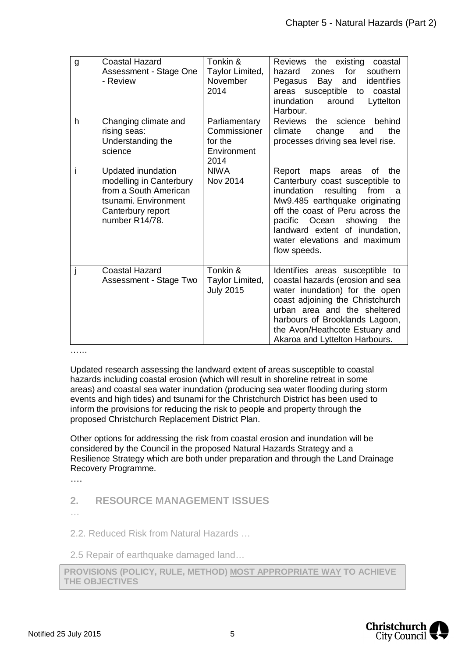| g | <b>Coastal Hazard</b><br>Assessment - Stage One<br>- Review                                                                           | Tonkin &<br>Taylor Limited,<br>November<br>2014                 | Reviews the existing<br>coastal<br>hazard<br>for<br>southern<br>zones<br>identifies<br>Bay and<br>Pegasus<br>areas susceptible to<br>coastal<br>inundation<br>Lyttelton<br>around<br>Harbour.                                                                                                                |
|---|---------------------------------------------------------------------------------------------------------------------------------------|-----------------------------------------------------------------|--------------------------------------------------------------------------------------------------------------------------------------------------------------------------------------------------------------------------------------------------------------------------------------------------------------|
| h | Changing climate and<br>rising seas:<br>Understanding the<br>science                                                                  | Parliamentary<br>Commissioner<br>for the<br>Environment<br>2014 | the science<br>behind<br><b>Reviews</b><br>climate<br>change<br>the<br>and<br>processes driving sea level rise.                                                                                                                                                                                              |
| i | Updated inundation<br>modelling in Canterbury<br>from a South American<br>tsunami. Environment<br>Canterbury report<br>number R14/78. | <b>NIWA</b><br>Nov 2014                                         | Report<br>of<br>maps<br>areas<br>the<br>Canterbury coast susceptible to<br>inundation<br>resulting<br>from<br>- a<br>Mw9.485 earthquake originating<br>off the coast of Peru across the<br>pacific Ocean<br>showing<br>the<br>landward extent of inundation,<br>water elevations and maximum<br>flow speeds. |
|   | <b>Coastal Hazard</b><br>Assessment - Stage Two                                                                                       | Tonkin &<br>Taylor Limited,<br><b>July 2015</b>                 | Identifies areas susceptible to<br>coastal hazards (erosion and sea<br>water inundation) for the open<br>coast adjoining the Christchurch<br>urban area and the sheltered<br>harbours of Brooklands Lagoon,<br>the Avon/Heathcote Estuary and<br>Akaroa and Lyttelton Harbours.                              |

………

Updated research assessing the landward extent of areas susceptible to coastal hazards including coastal erosion (which will result in shoreline retreat in some areas) and coastal sea water inundation (producing sea water flooding during storm events and high tides) and tsunami for the Christchurch District has been used to inform the provisions for reducing the risk to people and property through the proposed Christchurch Replacement District Plan.

Other options for addressing the risk from coastal erosion and inundation will be considered by the Council in the proposed Natural Hazards Strategy and a Resilience Strategy which are both under preparation and through the Land Drainage Recovery Programme.

….

- **2. RESOURCE MANAGEMENT ISSUES**
- …

2.2. Reduced Risk from Natural Hazards …

2.5 Repair of earthquake damaged land…

**PROVISIONS (POLICY, RULE, METHOD) MOST APPROPRIATE WAY TO ACHIEVE THE OBJECTIVES**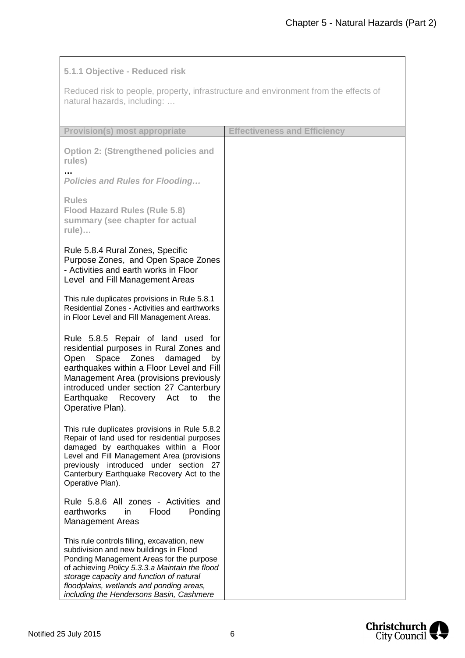## **5.1.1 Objective - Reduced risk**

Reduced risk to people, property, infrastructure and environment from the effects of natural hazards, including: …

| <b>Provision(s) most appropriate</b>                                                                                                                                                                                                                                                                                    | <b>Effectiveness and Efficiency</b> |
|-------------------------------------------------------------------------------------------------------------------------------------------------------------------------------------------------------------------------------------------------------------------------------------------------------------------------|-------------------------------------|
| <b>Option 2: (Strengthened policies and</b><br>rules)                                                                                                                                                                                                                                                                   |                                     |
| <b>Policies and Rules for Flooding</b>                                                                                                                                                                                                                                                                                  |                                     |
| <b>Rules</b><br><b>Flood Hazard Rules (Rule 5.8)</b><br>summary (see chapter for actual<br>$rule)$                                                                                                                                                                                                                      |                                     |
| Rule 5.8.4 Rural Zones, Specific<br>Purpose Zones, and Open Space Zones<br>- Activities and earth works in Floor<br>Level and Fill Management Areas                                                                                                                                                                     |                                     |
| This rule duplicates provisions in Rule 5.8.1<br>Residential Zones - Activities and earthworks<br>in Floor Level and Fill Management Areas.                                                                                                                                                                             |                                     |
| Rule 5.8.5 Repair of land used for<br>residential purposes in Rural Zones and<br>Space Zones<br>damaged<br>Open<br>by<br>earthquakes within a Floor Level and Fill<br>Management Area (provisions previously<br>introduced under section 27 Canterbury<br>Earthquake<br>Recovery Act<br>the<br>to<br>Operative Plan).   |                                     |
| This rule duplicates provisions in Rule 5.8.2<br>Repair of land used for residential purposes<br>damaged by earthquakes within a Floor<br>Level and Fill Management Area (provisions<br>previously introduced under section 27<br>Canterbury Earthquake Recovery Act to the<br>Operative Plan).                         |                                     |
| Rule 5.8.6 All zones - Activities and<br>earthworks<br>Ponding<br>Flood<br>in<br><b>Management Areas</b>                                                                                                                                                                                                                |                                     |
| This rule controls filling, excavation, new<br>subdivision and new buildings in Flood<br>Ponding Management Areas for the purpose<br>of achieving Policy 5.3.3.a Maintain the flood<br>storage capacity and function of natural<br>floodplains, wetlands and ponding areas,<br>including the Hendersons Basin, Cashmere |                                     |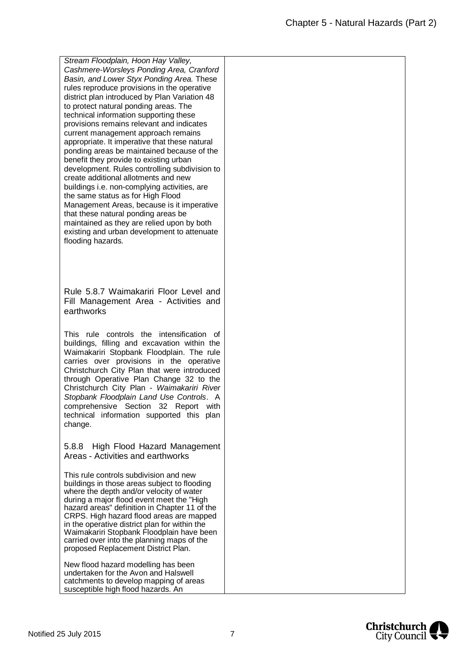*Stream Floodplain, Hoon Hay Valley, Cashmere-Worsleys Ponding Area, Cranford Basin, and Lower Styx Ponding Area.* These rules reproduce provisions in the operative district plan introduced by Plan Variation 48 to protect natural ponding areas. The technical information supporting these provisions remains relevant and indicates current management approach remains appropriate. It imperative that these natural ponding areas be maintained because of the benefit they provide to existing urban development. Rules controlling subdivision to create additional allotments and new buildings i.e. non-complying activities, are the same status as for High Flood Management Areas, because is it imperative that these natural ponding areas be maintained as they are relied upon by both existing and urban development to attenuate flooding hazards.

Rule 5.8.7 Waimakariri Floor Level and Fill Management Area - Activities and earthworks

This rule controls the intensification of buildings, filling and excavation within the Waimakariri Stopbank Floodplain. The rule carries over provisions in the operative Christchurch City Plan that were introduced through Operative Plan Change 32 to the Christchurch City Plan - *Waimakariri River Stopbank Floodplain Land Use Controls*. A comprehensive Section 32 Report with technical information supported this plan change.

5.8.8 High Flood Hazard Management Areas - Activities and earthworks

This rule controls subdivision and new buildings in those areas subject to flooding where the depth and/or velocity of water during a major flood event meet the "High hazard areas" definition in Chapter 11 of the CRPS. High hazard flood areas are mapped in the operative district plan for within the Waimakariri Stopbank Floodplain have been carried over into the planning maps of the proposed Replacement District Plan.

New flood hazard modelling has been undertaken for the Avon and Halswell catchments to develop mapping of areas susceptible high flood hazards. An

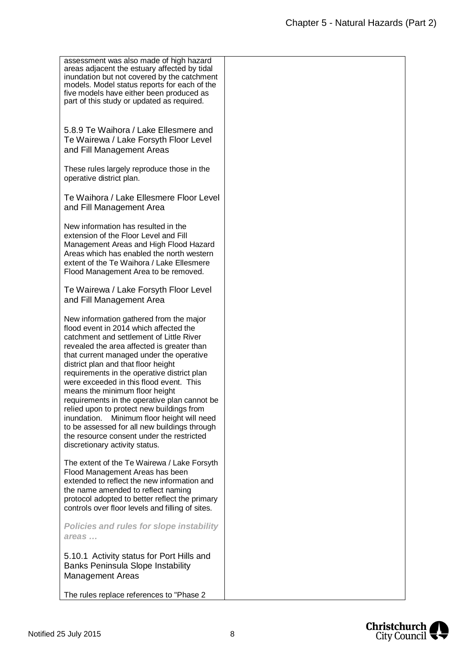| assessment was also made of high hazard<br>areas adjacent the estuary affected by tidal<br>inundation but not covered by the catchment<br>models. Model status reports for each of the<br>five models have either been produced as<br>part of this study or updated as required.                                                                                                                                                                                                                                                                                                                                                                                        |  |
|-------------------------------------------------------------------------------------------------------------------------------------------------------------------------------------------------------------------------------------------------------------------------------------------------------------------------------------------------------------------------------------------------------------------------------------------------------------------------------------------------------------------------------------------------------------------------------------------------------------------------------------------------------------------------|--|
| 5.8.9 Te Waihora / Lake Ellesmere and<br>Te Wairewa / Lake Forsyth Floor Level<br>and Fill Management Areas                                                                                                                                                                                                                                                                                                                                                                                                                                                                                                                                                             |  |
| These rules largely reproduce those in the<br>operative district plan.                                                                                                                                                                                                                                                                                                                                                                                                                                                                                                                                                                                                  |  |
| Te Waihora / Lake Ellesmere Floor Level<br>and Fill Management Area                                                                                                                                                                                                                                                                                                                                                                                                                                                                                                                                                                                                     |  |
| New information has resulted in the<br>extension of the Floor Level and Fill<br>Management Areas and High Flood Hazard<br>Areas which has enabled the north western<br>extent of the Te Waihora / Lake Ellesmere<br>Flood Management Area to be removed.                                                                                                                                                                                                                                                                                                                                                                                                                |  |
| Te Wairewa / Lake Forsyth Floor Level<br>and Fill Management Area                                                                                                                                                                                                                                                                                                                                                                                                                                                                                                                                                                                                       |  |
| New information gathered from the major<br>flood event in 2014 which affected the<br>catchment and settlement of Little River<br>revealed the area affected is greater than<br>that current managed under the operative<br>district plan and that floor height<br>requirements in the operative district plan<br>were exceeded in this flood event. This<br>means the minimum floor height<br>requirements in the operative plan cannot be<br>relied upon to protect new buildings from<br>Minimum floor height will need<br>inundation.<br>to be assessed for all new buildings through<br>the resource consent under the restricted<br>discretionary activity status. |  |
| The extent of the Te Wairewa / Lake Forsyth<br>Flood Management Areas has been<br>extended to reflect the new information and<br>the name amended to reflect naming<br>protocol adopted to better reflect the primary<br>controls over floor levels and filling of sites.                                                                                                                                                                                                                                                                                                                                                                                               |  |
| <b>Policies and rules for slope instability</b><br>areas                                                                                                                                                                                                                                                                                                                                                                                                                                                                                                                                                                                                                |  |
| 5.10.1 Activity status for Port Hills and<br><b>Banks Peninsula Slope Instability</b><br><b>Management Areas</b>                                                                                                                                                                                                                                                                                                                                                                                                                                                                                                                                                        |  |
| The rules replace references to "Phase 2                                                                                                                                                                                                                                                                                                                                                                                                                                                                                                                                                                                                                                |  |

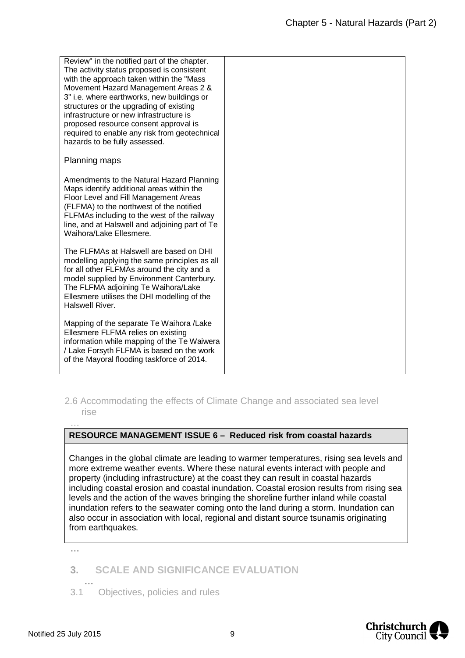| Review" in the notified part of the chapter.<br>The activity status proposed is consistent<br>with the approach taken within the "Mass<br>Movement Hazard Management Areas 2 &<br>3" i.e. where earthworks, new buildings or<br>structures or the upgrading of existing<br>infrastructure or new infrastructure is<br>proposed resource consent approval is<br>required to enable any risk from geotechnical<br>hazards to be fully assessed. |  |
|-----------------------------------------------------------------------------------------------------------------------------------------------------------------------------------------------------------------------------------------------------------------------------------------------------------------------------------------------------------------------------------------------------------------------------------------------|--|
| Planning maps                                                                                                                                                                                                                                                                                                                                                                                                                                 |  |
| Amendments to the Natural Hazard Planning<br>Maps identify additional areas within the<br>Floor Level and Fill Management Areas<br>(FLFMA) to the northwest of the notified<br>FLFMAs including to the west of the railway<br>line, and at Halswell and adjoining part of Te<br>Waihora/Lake Ellesmere.                                                                                                                                       |  |
| The FLFMAs at Halswell are based on DHI<br>modelling applying the same principles as all<br>for all other FLFMAs around the city and a<br>model supplied by Environment Canterbury.<br>The FLFMA adjoining Te Waihora/Lake<br>Ellesmere utilises the DHI modelling of the<br>Halswell River.                                                                                                                                                  |  |
| Mapping of the separate Te Waihora /Lake<br>Ellesmere FLFMA relies on existing<br>information while mapping of the Te Waiwera<br>/ Lake Forsyth FLFMA is based on the work<br>of the Mayoral flooding taskforce of 2014.                                                                                                                                                                                                                      |  |

## 2.6 Accommodating the effects of Climate Change and associated sea level rise

## **RESOURCE MANAGEMENT ISSUE 6 – Reduced risk from coastal hazards**

Changes in the global climate are leading to warmer temperatures, rising sea levels and more extreme weather events. Where these natural events interact with people and property (including infrastructure) at the coast they can result in coastal hazards including coastal erosion and coastal inundation. Coastal erosion results from rising sea levels and the action of the waves bringing the shoreline further inland while coastal inundation refers to the seawater coming onto the land during a storm. Inundation can also occur in association with local, regional and distant source tsunamis originating from earthquakes.

…

…

## **3. SCALE AND SIGNIFICANCE EVALUATION**

… 3.1 Objectives, policies and rules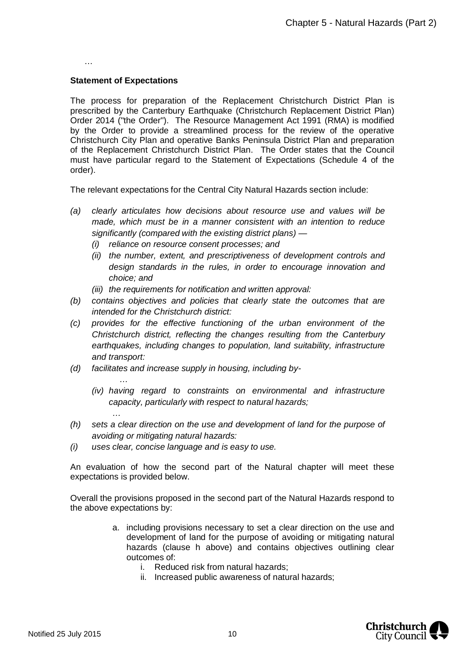…

#### **Statement of Expectations**

*…*

*…*

The process for preparation of the Replacement Christchurch District Plan is prescribed by the Canterbury Earthquake (Christchurch Replacement District Plan) Order 2014 ("the Order"). The Resource Management Act 1991 (RMA) is modified by the Order to provide a streamlined process for the review of the operative Christchurch City Plan and operative Banks Peninsula District Plan and preparation of the Replacement Christchurch District Plan. The Order states that the Council must have particular regard to the Statement of Expectations (Schedule 4 of the order).

The relevant expectations for the Central City Natural Hazards section include:

- *(a) clearly articulates how decisions about resource use and values will be made, which must be in a manner consistent with an intention to reduce significantly (compared with the existing district plans) —*
	- *(i) reliance on resource consent processes; and*
	- *(ii) the number, extent, and prescriptiveness of development controls and design standards in the rules, in order to encourage innovation and choice; and*
	- *(iii) the requirements for notification and written approval:*
- *(b) contains objectives and policies that clearly state the outcomes that are intended for the Christchurch district:*
- *(c) provides for the effective functioning of the urban environment of the Christchurch district, reflecting the changes resulting from the Canterbury earthquakes, including changes to population, land suitability, infrastructure and transport:*
- *(d) facilitates and increase supply in housing, including by-*
	- *(iv) having regard to constraints on environmental and infrastructure capacity, particularly with respect to natural hazards;*
- *(h) sets a clear direction on the use and development of land for the purpose of avoiding or mitigating natural hazards:*
- *(i) uses clear, concise language and is easy to use.*

An evaluation of how the second part of the Natural chapter will meet these expectations is provided below.

Overall the provisions proposed in the second part of the Natural Hazards respond to the above expectations by:

- a. including provisions necessary to set a clear direction on the use and development of land for the purpose of avoiding or mitigating natural hazards (clause h above) and contains objectives outlining clear outcomes of:
	- i. Reduced risk from natural hazards;
	- ii. Increased public awareness of natural hazards;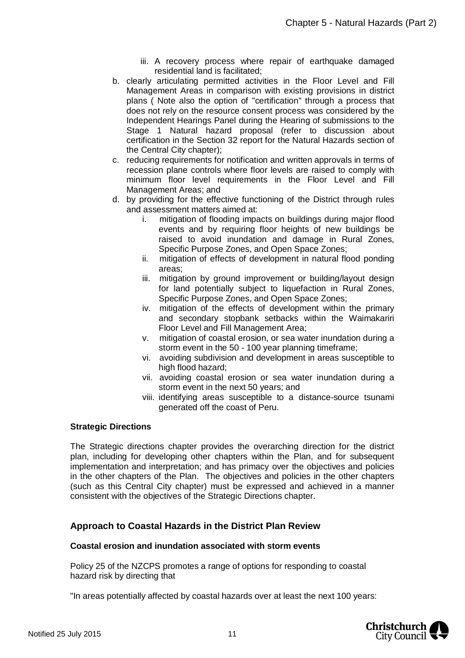- iii. A recovery process where repair of earthquake damaged residential land is facilitated;
- b. clearly articulating permitted activities in the Floor Level and Fill Management Areas in comparison with existing provisions in district plans ( Note also the option of "certification" through a process that does not rely on the resource consent process was considered by the Independent Hearings Panel during the Hearing of submissions to the Stage 1 Natural hazard proposal (refer to discussion about certification in the Section 32 report for the Natural Hazards section of the Central City chapter);
- c. reducing requirements for notification and written approvals in terms of recession plane controls where floor levels are raised to comply with minimum floor level requirements in the Floor Level and Fill Management Areas; and
- d. by providing for the effective functioning of the District through rules and assessment matters aimed at:
	- i. mitigation of flooding impacts on buildings during major flood events and by requiring floor heights of new buildings be raised to avoid inundation and damage in Rural Zones, Specific Purpose Zones, and Open Space Zones;
	- ii. mitigation of effects of development in natural flood ponding areas;
	- iii. mitigation by ground improvement or building/layout design for land potentially subject to liquefaction in Rural Zones, Specific Purpose Zones, and Open Space Zones;
	- iv. mitigation of the effects of development within the primary and secondary stopbank setbacks within the Waimakariri Floor Level and Fill Management Area;
	- v. mitigation of coastal erosion, or sea water inundation during a storm event in the 50 - 100 year planning timeframe;
	- vi. avoiding subdivision and development in areas susceptible to high flood hazard;
	- vii. avoiding coastal erosion or sea water inundation during a storm event in the next 50 years; and
	- viii. identifying areas susceptible to a distance-source tsunami generated off the coast of Peru.

#### **Strategic Directions**

The Strategic directions chapter provides the overarching direction for the district plan, including for developing other chapters within the Plan, and for subsequent implementation and interpretation; and has primacy over the objectives and policies in the other chapters of the Plan. The objectives and policies in the other chapters (such as this Central City chapter) must be expressed and achieved in a manner consistent with the objectives of the Strategic Directions chapter.

## **Approach to Coastal Hazards in the District Plan Review**

#### **Coastal erosion and inundation associated with storm events**

Policy 25 of the NZCPS promotes a range of options for responding to coastal hazard risk by directing that

"In areas potentially affected by coastal hazards over at least the next 100 years:

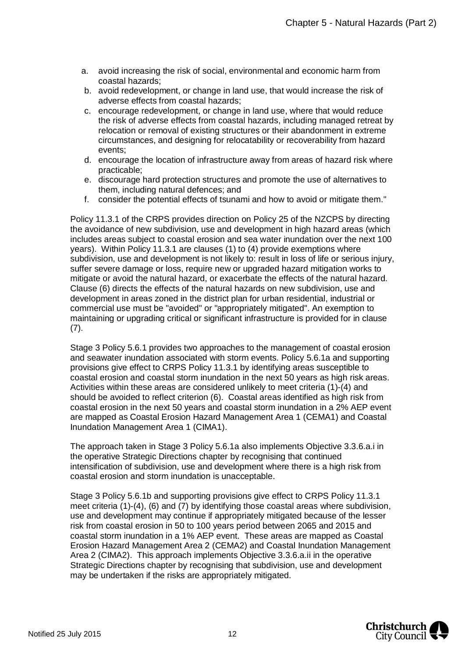- a. avoid increasing the risk of social, environmental and economic harm from coastal hazards;
- b. avoid redevelopment, or change in land use, that would increase the risk of adverse effects from coastal hazards;
- c. encourage redevelopment, or change in land use, where that would reduce the risk of adverse effects from coastal hazards, including managed retreat by relocation or removal of existing structures or their abandonment in extreme circumstances, and designing for relocatability or recoverability from hazard events;
- d. encourage the location of infrastructure away from areas of hazard risk where practicable;
- e. discourage hard protection structures and promote the use of alternatives to them, including natural defences; and
- f. consider the potential effects of tsunami and how to avoid or mitigate them."

Policy 11.3.1 of the CRPS provides direction on Policy 25 of the NZCPS by directing the avoidance of new subdivision, use and development in high hazard areas (which includes areas subject to coastal erosion and sea water inundation over the next 100 years). Within Policy 11.3.1 are clauses (1) to (4) provide exemptions where subdivision, use and development is not likely to: result in loss of life or serious injury, suffer severe damage or loss, require new or upgraded hazard mitigation works to mitigate or avoid the natural hazard, or exacerbate the effects of the natural hazard. Clause (6) directs the effects of the natural hazards on new subdivision, use and development in areas zoned in the district plan for urban residential, industrial or commercial use must be "avoided" or "appropriately mitigated". An exemption to maintaining or upgrading critical or significant infrastructure is provided for in clause (7).

Stage 3 Policy 5.6.1 provides two approaches to the management of coastal erosion and seawater inundation associated with storm events. Policy 5.6.1a and supporting provisions give effect to CRPS Policy 11.3.1 by identifying areas susceptible to coastal erosion and coastal storm inundation in the next 50 years as high risk areas. Activities within these areas are considered unlikely to meet criteria (1)-(4) and should be avoided to reflect criterion (6). Coastal areas identified as high risk from coastal erosion in the next 50 years and coastal storm inundation in a 2% AEP event are mapped as Coastal Erosion Hazard Management Area 1 (CEMA1) and Coastal Inundation Management Area 1 (CIMA1).

The approach taken in Stage 3 Policy 5.6.1a also implements Objective 3.3.6.a.i in the operative Strategic Directions chapter by recognising that continued intensification of subdivision, use and development where there is a high risk from coastal erosion and storm inundation is unacceptable.

Stage 3 Policy 5.6.1b and supporting provisions give effect to CRPS Policy 11.3.1 meet criteria (1)-(4), (6) and (7) by identifying those coastal areas where subdivision, use and development may continue if appropriately mitigated because of the lesser risk from coastal erosion in 50 to 100 years period between 2065 and 2015 and coastal storm inundation in a 1% AEP event. These areas are mapped as Coastal Erosion Hazard Management Area 2 (CEMA2) and Coastal Inundation Management Area 2 (CIMA2). This approach implements Objective 3.3.6.a.ii in the operative Strategic Directions chapter by recognising that subdivision, use and development may be undertaken if the risks are appropriately mitigated.

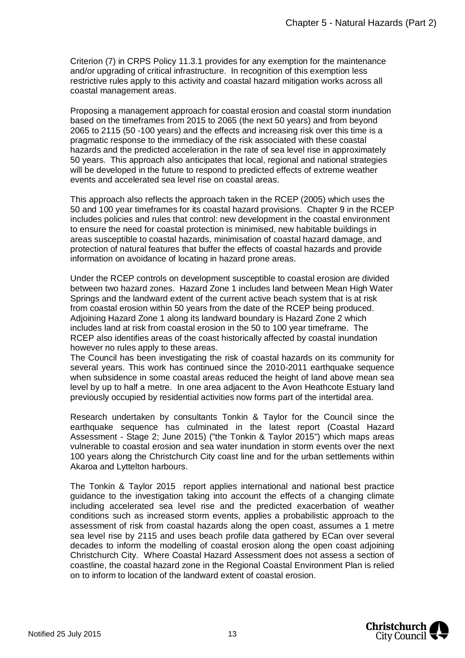Criterion (7) in CRPS Policy 11.3.1 provides for any exemption for the maintenance and/or upgrading of critical infrastructure. In recognition of this exemption less restrictive rules apply to this activity and coastal hazard mitigation works across all coastal management areas.

Proposing a management approach for coastal erosion and coastal storm inundation based on the timeframes from 2015 to 2065 (the next 50 years) and from beyond 2065 to 2115 (50 -100 years) and the effects and increasing risk over this time is a pragmatic response to the immediacy of the risk associated with these coastal hazards and the predicted acceleration in the rate of sea level rise in approximately 50 years. This approach also anticipates that local, regional and national strategies will be developed in the future to respond to predicted effects of extreme weather events and accelerated sea level rise on coastal areas.

This approach also reflects the approach taken in the RCEP (2005) which uses the 50 and 100 year timeframes for its coastal hazard provisions. Chapter 9 in the RCEP includes policies and rules that control: new development in the coastal environment to ensure the need for coastal protection is minimised, new habitable buildings in areas susceptible to coastal hazards, minimisation of coastal hazard damage, and protection of natural features that buffer the effects of coastal hazards and provide information on avoidance of locating in hazard prone areas.

Under the RCEP controls on development susceptible to coastal erosion are divided between two hazard zones. Hazard Zone 1 includes land between Mean High Water Springs and the landward extent of the current active beach system that is at risk from coastal erosion within 50 years from the date of the RCEP being produced. Adjoining Hazard Zone 1 along its landward boundary is Hazard Zone 2 which includes land at risk from coastal erosion in the 50 to 100 year timeframe. The RCEP also identifies areas of the coast historically affected by coastal inundation however no rules apply to these areas.

The Council has been investigating the risk of coastal hazards on its community for several years. This work has continued since the 2010-2011 earthquake sequence when subsidence in some coastal areas reduced the height of land above mean sea level by up to half a metre. In one area adjacent to the Avon Heathcote Estuary land previously occupied by residential activities now forms part of the intertidal area.

Research undertaken by consultants Tonkin & Taylor for the Council since the earthquake sequence has culminated in the latest report (Coastal Hazard Assessment - Stage 2; June 2015) ("the Tonkin & Taylor 2015") which maps areas vulnerable to coastal erosion and sea water inundation in storm events over the next 100 years along the Christchurch City coast line and for the urban settlements within Akaroa and Lyttelton harbours.

The Tonkin & Taylor 2015 report applies international and national best practice guidance to the investigation taking into account the effects of a changing climate including accelerated sea level rise and the predicted exacerbation of weather conditions such as increased storm events, applies a probabilistic approach to the assessment of risk from coastal hazards along the open coast, assumes a 1 metre sea level rise by 2115 and uses beach profile data gathered by ECan over several decades to inform the modelling of coastal erosion along the open coast adjoining Christchurch City. Where Coastal Hazard Assessment does not assess a section of coastline, the coastal hazard zone in the Regional Coastal Environment Plan is relied on to inform to location of the landward extent of coastal erosion.

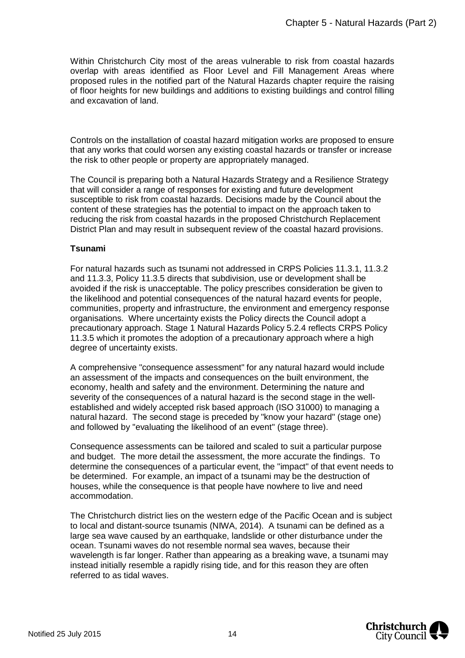Within Christchurch City most of the areas vulnerable to risk from coastal hazards overlap with areas identified as Floor Level and Fill Management Areas where proposed rules in the notified part of the Natural Hazards chapter require the raising of floor heights for new buildings and additions to existing buildings and control filling and excavation of land.

Controls on the installation of coastal hazard mitigation works are proposed to ensure that any works that could worsen any existing coastal hazards or transfer or increase the risk to other people or property are appropriately managed.

The Council is preparing both a Natural Hazards Strategy and a Resilience Strategy that will consider a range of responses for existing and future development susceptible to risk from coastal hazards. Decisions made by the Council about the content of these strategies has the potential to impact on the approach taken to reducing the risk from coastal hazards in the proposed Christchurch Replacement District Plan and may result in subsequent review of the coastal hazard provisions.

#### **Tsunami**

For natural hazards such as tsunami not addressed in CRPS Policies 11.3.1, 11.3.2 and 11.3.3, Policy 11.3.5 directs that subdivision, use or development shall be avoided if the risk is unacceptable. The policy prescribes consideration be given to the likelihood and potential consequences of the natural hazard events for people, communities, property and infrastructure, the environment and emergency response organisations. Where uncertainty exists the Policy directs the Council adopt a precautionary approach. Stage 1 Natural Hazards Policy 5.2.4 reflects CRPS Policy 11.3.5 which it promotes the adoption of a precautionary approach where a high degree of uncertainty exists.

A comprehensive "consequence assessment" for any natural hazard would include an assessment of the impacts and consequences on the built environment, the economy, health and safety and the environment. Determining the nature and severity of the consequences of a natural hazard is the second stage in the wellestablished and widely accepted risk based approach (ISO 31000) to managing a natural hazard. The second stage is preceded by "know your hazard" (stage one) and followed by "evaluating the likelihood of an event" (stage three).

Consequence assessments can be tailored and scaled to suit a particular purpose and budget. The more detail the assessment, the more accurate the findings. To determine the consequences of a particular event, the "impact" of that event needs to be determined. For example, an impact of a tsunami may be the destruction of houses, while the consequence is that people have nowhere to live and need accommodation.

The Christchurch district lies on the western edge of the Pacific Ocean and is subject to local and distant-source tsunamis (NIWA, 2014). A tsunami can be defined as a large sea wave caused by an earthquake, landslide or other disturbance under the ocean. Tsunami waves do not resemble normal [sea waves,](http://en.wikipedia.org/wiki/Wind_wave) because their wavelength is far longer. Rather than appearing as a breaking wave, a tsunami may instead initially resemble a rapidly rising [tide](http://en.wikipedia.org/wiki/Tide), and for this reason they are often referred to as tidal waves.

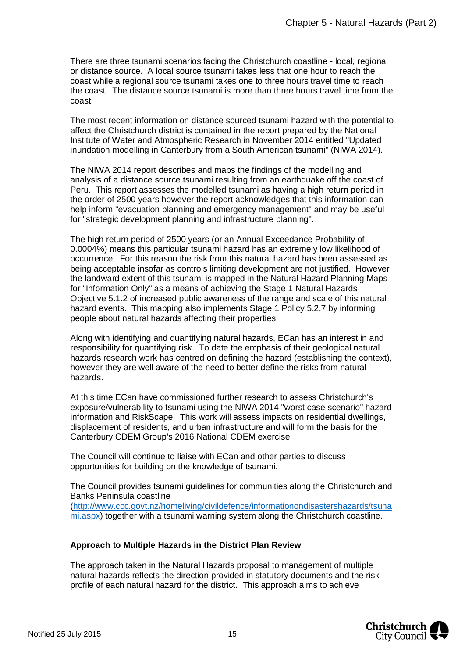There are three tsunami scenarios facing the Christchurch coastline - local, regional or distance source. A local source tsunami takes less that one hour to reach the coast while a regional source tsunami takes one to three hours travel time to reach the coast. The distance source tsunami is more than three hours travel time from the coast.

The most recent information on distance sourced tsunami hazard with the potential to affect the Christchurch district is contained in the report prepared by the National Institute of Water and Atmospheric Research in November 2014 entitled "Updated inundation modelling in Canterbury from a South American tsunami" (NIWA 2014).

The NIWA 2014 report describes and maps the findings of the modelling and analysis of a distance source tsunami resulting from an earthquake off the coast of Peru. This report assesses the modelled tsunami as having a high return period in the order of 2500 years however the report acknowledges that this information can help inform "evacuation planning and emergency management" and may be useful for "strategic development planning and infrastructure planning".

The high return period of 2500 years (or an Annual Exceedance Probability of 0.0004%) means this particular tsunami hazard has an extremely low likelihood of occurrence. For this reason the risk from this natural hazard has been assessed as being acceptable insofar as controls limiting development are not justified. However the landward extent of this tsunami is mapped in the Natural Hazard Planning Maps for "Information Only" as a means of achieving the Stage 1 Natural Hazards Objective 5.1.2 of increased public awareness of the range and scale of this natural hazard events. This mapping also implements Stage 1 Policy 5.2.7 by informing people about natural hazards affecting their properties.

Along with identifying and quantifying natural hazards, ECan has an interest in and responsibility for quantifying risk. To date the emphasis of their geological natural hazards research work has centred on defining the hazard (establishing the context), however they are well aware of the need to better define the risks from natural hazards.

At this time ECan have commissioned further research to assess Christchurch's exposure/vulnerability to tsunami using the NIWA 2014 "worst case scenario" hazard information and RiskScape. This work will assess impacts on residential dwellings, displacement of residents, and urban infrastructure and will form the basis for the Canterbury CDEM Group's 2016 National CDEM exercise.

The Council will continue to liaise with ECan and other parties to discuss opportunities for building on the knowledge of tsunami.

The Council provides tsunami guidelines for communities along the Christchurch and Banks Peninsula coastline

([http://www.ccc.govt.nz/homeliving/civildefence/informationondisastershazards/tsuna](http://www.ccc.govt.nz/homeliving/civildefence/informationondisastershazards/tsunami.aspx) [mi.aspx](http://www.ccc.govt.nz/homeliving/civildefence/informationondisastershazards/tsunami.aspx)) together with a tsunami warning system along the Christchurch coastline.

#### **Approach to Multiple Hazards in the District Plan Review**

The approach taken in the Natural Hazards proposal to management of multiple natural hazards reflects the direction provided in statutory documents and the risk profile of each natural hazard for the district. This approach aims to achieve

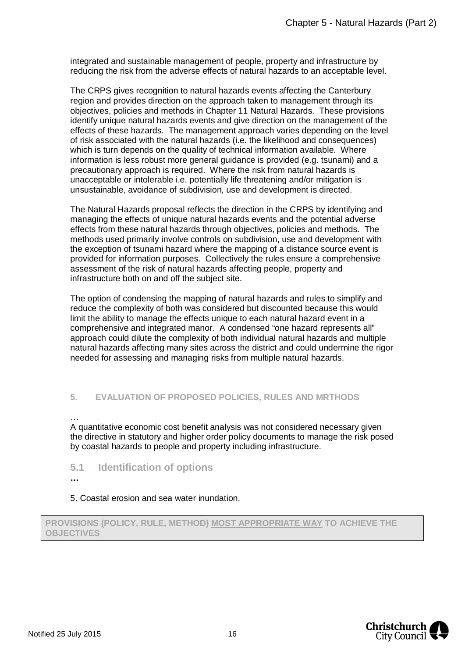integrated and sustainable management of people, property and infrastructure by reducing the risk from the adverse effects of natural hazards to an acceptable level.

The CRPS gives recognition to natural hazards events affecting the Canterbury region and provides direction on the approach taken to management through its objectives, policies and methods in Chapter 11 Natural Hazards. These provisions identify unique natural hazards events and give direction on the management of the effects of these hazards. The management approach varies depending on the level of risk associated with the natural hazards (i.e. the likelihood and consequences) which is turn depends on the quality of technical information available. Where information is less robust more general guidance is provided (e.g. tsunami) and a precautionary approach is required. Where the risk from natural hazards is unacceptable or intolerable i.e. potentially life threatening and/or mitigation is unsustainable, avoidance of subdivision, use and development is directed.

The Natural Hazards proposal reflects the direction in the CRPS by identifying and managing the effects of unique natural hazards events and the potential adverse effects from these natural hazards through objectives, policies and methods. The methods used primarily involve controls on subdivision, use and development with the exception of tsunami hazard where the mapping of a distance source event is provided for information purposes. Collectively the rules ensure a comprehensive assessment of the risk of natural hazards affecting people, property and infrastructure both on and off the subject site.

The option of condensing the mapping of natural hazards and rules to simplify and reduce the complexity of both was considered but discounted because this would limit the ability to manage the effects unique to each natural hazard event in a comprehensive and integrated manor. A condensed "one hazard represents all" approach could dilute the complexity of both individual natural hazards and multiple natural hazards affecting many sites across the district and could undermine the rigor needed for assessing and managing risks from multiple natural hazards.

## **5. EVALUATION OF PROPOSED POLICIES, RULES AND MRTHODS**

… A quantitative economic cost benefit analysis was not considered necessary given the directive in statutory and higher order policy documents to manage the risk posed by coastal hazards to people and property including infrastructure.

- **5.1 Identification of options**
- **…**

5. Coastal erosion and sea water inundation.

**PROVISIONS (POLICY, RULE, METHOD) MOST APPROPRIATE WAY TO ACHIEVE THE OBJECTIVES**

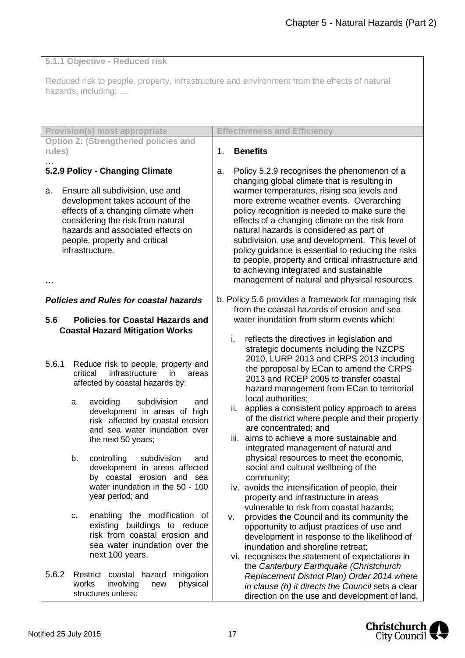**5.1.1 Objective - Reduced risk**

Reduced risk to people, property, infrastructure and environment from the effects of natural hazards, including: …

| <b>Provision(s) most appropriate</b>                                                                                                                                                                                                                                                                                                                                                                                                                                                                                                                                                                                                | <b>Effectiveness and Efficiency</b>                                                                                                                                                                                                                                                                                                                                                                                                                                                                                                                                                                                                                                                                                                                                                                                                                                                                                                                                                                                                                      |
|-------------------------------------------------------------------------------------------------------------------------------------------------------------------------------------------------------------------------------------------------------------------------------------------------------------------------------------------------------------------------------------------------------------------------------------------------------------------------------------------------------------------------------------------------------------------------------------------------------------------------------------|----------------------------------------------------------------------------------------------------------------------------------------------------------------------------------------------------------------------------------------------------------------------------------------------------------------------------------------------------------------------------------------------------------------------------------------------------------------------------------------------------------------------------------------------------------------------------------------------------------------------------------------------------------------------------------------------------------------------------------------------------------------------------------------------------------------------------------------------------------------------------------------------------------------------------------------------------------------------------------------------------------------------------------------------------------|
| <b>Option 2: (Strengthened policies and</b>                                                                                                                                                                                                                                                                                                                                                                                                                                                                                                                                                                                         |                                                                                                                                                                                                                                                                                                                                                                                                                                                                                                                                                                                                                                                                                                                                                                                                                                                                                                                                                                                                                                                          |
| rules)                                                                                                                                                                                                                                                                                                                                                                                                                                                                                                                                                                                                                              | <b>Benefits</b><br>1.                                                                                                                                                                                                                                                                                                                                                                                                                                                                                                                                                                                                                                                                                                                                                                                                                                                                                                                                                                                                                                    |
| 5.2.9 Policy - Changing Climate                                                                                                                                                                                                                                                                                                                                                                                                                                                                                                                                                                                                     | Policy 5.2.9 recognises the phenomenon of a<br>a.<br>changing global climate that is resulting in                                                                                                                                                                                                                                                                                                                                                                                                                                                                                                                                                                                                                                                                                                                                                                                                                                                                                                                                                        |
| Ensure all subdivision, use and<br>a.<br>development takes account of the<br>effects of a changing climate when<br>considering the risk from natural<br>hazards and associated effects on<br>people, property and critical<br>infrastructure.<br>                                                                                                                                                                                                                                                                                                                                                                                   | warmer temperatures, rising sea levels and<br>more extreme weather events. Overarching<br>policy recognition is needed to make sure the<br>effects of a changing climate on the risk from<br>natural hazards is considered as part of<br>subdivision, use and development. This level of<br>policy guidance is essential to reducing the risks<br>to people, property and critical infrastructure and<br>to achieving integrated and sustainable<br>management of natural and physical resources.                                                                                                                                                                                                                                                                                                                                                                                                                                                                                                                                                        |
| <b>Policies and Rules for coastal hazards</b>                                                                                                                                                                                                                                                                                                                                                                                                                                                                                                                                                                                       | b. Policy 5.6 provides a framework for managing risk<br>from the coastal hazards of erosion and sea                                                                                                                                                                                                                                                                                                                                                                                                                                                                                                                                                                                                                                                                                                                                                                                                                                                                                                                                                      |
| <b>Policies for Coastal Hazards and</b><br>5.6<br><b>Coastal Hazard Mitigation Works</b>                                                                                                                                                                                                                                                                                                                                                                                                                                                                                                                                            | water inundation from storm events which:                                                                                                                                                                                                                                                                                                                                                                                                                                                                                                                                                                                                                                                                                                                                                                                                                                                                                                                                                                                                                |
| 5.6.1<br>Reduce risk to people, property and<br>critical<br>infrastructure<br><i>in</i><br>areas<br>affected by coastal hazards by:<br>avoiding<br>subdivision<br>and<br>a.<br>development in areas of high<br>risk affected by coastal erosion<br>and sea water inundation over<br>the next 50 years;<br>controlling<br>subdivision<br>b.<br>and<br>development in areas affected<br>by coastal erosion and sea<br>water inundation in the 50 - 100<br>year period; and<br>enabling the modification of<br>c.<br>existing buildings to reduce<br>risk from coastal erosion and<br>sea water inundation over the<br>next 100 years. | reflects the directives in legislation and<br>i.<br>strategic documents including the NZCPS<br>2010, LURP 2013 and CRPS 2013 including<br>the pproposal by ECan to amend the CRPS<br>2013 and RCEP 2005 to transfer coastal<br>hazard management from ECan to territorial<br>local authorities;<br>applies a consistent policy approach to areas<br>ii.<br>of the district where people and their property<br>are concentrated; and<br>iii. aims to achieve a more sustainable and<br>integrated management of natural and<br>physical resources to meet the economic,<br>social and cultural wellbeing of the<br>community;<br>iv. avoids the intensification of people, their<br>property and infrastructure in areas<br>vulnerable to risk from coastal hazards;<br>provides the Council and its community the<br>v.<br>opportunity to adjust practices of use and<br>development in response to the likelihood of<br>inundation and shoreline retreat;<br>vi. recognises the statement of expectations in<br>the Canterbury Earthquake (Christchurch |
| 5.6.2<br>Restrict coastal hazard mitigation<br>works<br>involving<br>physical<br>new<br>structures unless:                                                                                                                                                                                                                                                                                                                                                                                                                                                                                                                          | Replacement District Plan) Order 2014 where<br>in clause (h) it directs the Council sets a clear<br>direction on the use and development of land.                                                                                                                                                                                                                                                                                                                                                                                                                                                                                                                                                                                                                                                                                                                                                                                                                                                                                                        |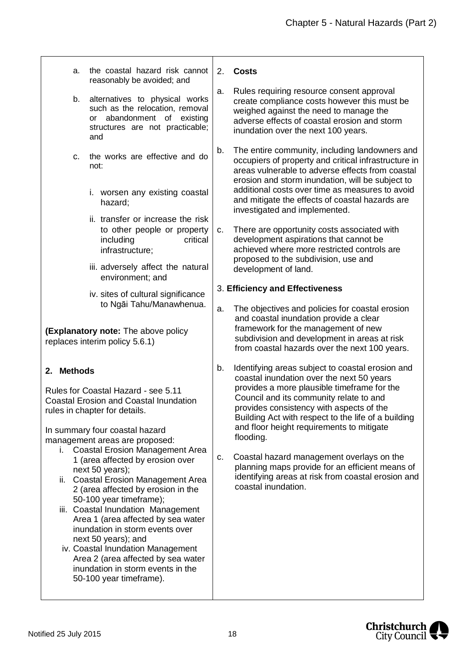| a.                                                                                                                    | the coastal hazard risk cannot<br>reasonably be avoided; and                                                                                                                                                                                                                      | 2. | <b>Costs</b>                                                                                                                                                                                                               |
|-----------------------------------------------------------------------------------------------------------------------|-----------------------------------------------------------------------------------------------------------------------------------------------------------------------------------------------------------------------------------------------------------------------------------|----|----------------------------------------------------------------------------------------------------------------------------------------------------------------------------------------------------------------------------|
| b.                                                                                                                    | alternatives to physical works<br>such as the relocation, removal<br>abandonment of existing<br>or<br>structures are not practicable;<br>and                                                                                                                                      | a. | Rules requiring resource consent approval<br>create compliance costs however this must be<br>weighed against the need to manage the<br>adverse effects of coastal erosion and storm<br>inundation over the next 100 years. |
| C.                                                                                                                    | the works are effective and do<br>not:                                                                                                                                                                                                                                            | b. | The entire community, including landowners and<br>occupiers of property and critical infrastructure in<br>areas vulnerable to adverse effects from coastal<br>erosion and storm inundation, will be subject to             |
|                                                                                                                       | i. worsen any existing coastal<br>hazard;                                                                                                                                                                                                                                         |    | additional costs over time as measures to avoid<br>and mitigate the effects of coastal hazards are<br>investigated and implemented.                                                                                        |
|                                                                                                                       | ii. transfer or increase the risk<br>to other people or property<br>critical<br>including<br>infrastructure;                                                                                                                                                                      | C. | There are opportunity costs associated with<br>development aspirations that cannot be<br>achieved where more restricted controls are<br>proposed to the subdivision, use and                                               |
|                                                                                                                       | iii. adversely affect the natural<br>environment; and                                                                                                                                                                                                                             |    | development of land.                                                                                                                                                                                                       |
|                                                                                                                       | iv. sites of cultural significance<br>to Ngāi Tahu/Manawhenua.                                                                                                                                                                                                                    | a. | 3. Efficiency and Effectiveness<br>The objectives and policies for coastal erosion                                                                                                                                         |
| (Explanatory note: The above policy<br>replaces interim policy 5.6.1)                                                 |                                                                                                                                                                                                                                                                                   |    | and coastal inundation provide a clear<br>framework for the management of new<br>subdivision and development in areas at risk<br>from coastal hazards over the next 100 years.                                             |
| 2. Methods                                                                                                            |                                                                                                                                                                                                                                                                                   | b. | Identifying areas subject to coastal erosion and<br>coastal inundation over the next 50 years                                                                                                                              |
| Rules for Coastal Hazard - see 5.11<br><b>Coastal Erosion and Coastal Inundation</b><br>rules in chapter for details. |                                                                                                                                                                                                                                                                                   |    | provides a more plausible timeframe for the<br>Council and its community relate to and<br>provides consistency with aspects of the<br>Building Act with respect to the life of a building                                  |
|                                                                                                                       | In summary four coastal hazard<br>management areas are proposed:                                                                                                                                                                                                                  |    | and floor height requirements to mitigate<br>flooding.                                                                                                                                                                     |
| i.                                                                                                                    | <b>Coastal Erosion Management Area</b><br>1 (area affected by erosion over<br>next 50 years);<br>ii. Coastal Erosion Management Area<br>2 (area affected by erosion in the<br>50-100 year timeframe);<br>iii. Coastal Inundation Management<br>Area 1 (area affected by sea water | C. | Coastal hazard management overlays on the<br>planning maps provide for an efficient means of<br>identifying areas at risk from coastal erosion and<br>coastal inundation.                                                  |
|                                                                                                                       | inundation in storm events over<br>next 50 years); and<br>iv. Coastal Inundation Management<br>Area 2 (area affected by sea water<br>inundation in storm events in the                                                                                                            |    |                                                                                                                                                                                                                            |

50-100 year timeframe).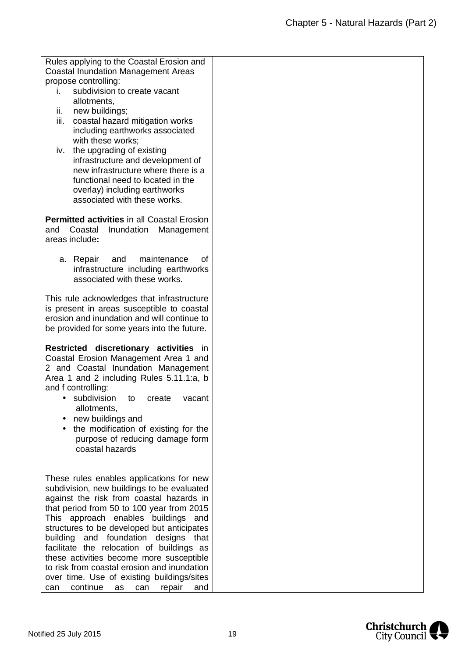| Rules applying to the Coastal Erosion and                                    |  |
|------------------------------------------------------------------------------|--|
| <b>Coastal Inundation Management Areas</b>                                   |  |
| propose controlling:                                                         |  |
| subdivision to create vacant<br>i.                                           |  |
| allotments.                                                                  |  |
| ii.<br>new buildings;                                                        |  |
| iii.<br>coastal hazard mitigation works                                      |  |
| including earthworks associated<br>with these works;                         |  |
|                                                                              |  |
| the upgrading of existing<br>iv.<br>infrastructure and development of        |  |
| new infrastructure where there is a                                          |  |
| functional need to located in the                                            |  |
| overlay) including earthworks                                                |  |
| associated with these works.                                                 |  |
|                                                                              |  |
| <b>Permitted activities in all Coastal Erosion</b>                           |  |
| Coastal<br>Inundation<br>and<br>Management                                   |  |
| areas include:                                                               |  |
|                                                                              |  |
| maintenance<br>οf<br>a. Repair<br>and                                        |  |
| infrastructure including earthworks                                          |  |
| associated with these works.                                                 |  |
|                                                                              |  |
| This rule acknowledges that infrastructure                                   |  |
| is present in areas susceptible to coastal                                   |  |
| erosion and inundation and will continue to                                  |  |
| be provided for some years into the future.                                  |  |
|                                                                              |  |
| Restricted discretionary activities in                                       |  |
| Coastal Erosion Management Area 1 and<br>2 and Coastal Inundation Management |  |
| Area 1 and 2 including Rules 5.11.1:a, b                                     |  |
| and f controlling:                                                           |  |
| · subdivision to create<br>vacant                                            |  |
| allotments,                                                                  |  |
| new buildings and                                                            |  |
| the modification of existing for the                                         |  |
| purpose of reducing damage form                                              |  |
| coastal hazards                                                              |  |
|                                                                              |  |
|                                                                              |  |
| These rules enables applications for new                                     |  |
| subdivision, new buildings to be evaluated                                   |  |
| against the risk from coastal hazards in                                     |  |
| that period from 50 to 100 year from 2015                                    |  |
| This approach enables buildings and                                          |  |
| structures to be developed but anticipates                                   |  |
| building and foundation designs that                                         |  |
| facilitate the relocation of buildings as                                    |  |
| these activities become more susceptible                                     |  |
| to risk from coastal erosion and inundation                                  |  |
| over time. Use of existing buildings/sites                                   |  |



can continue as can repair and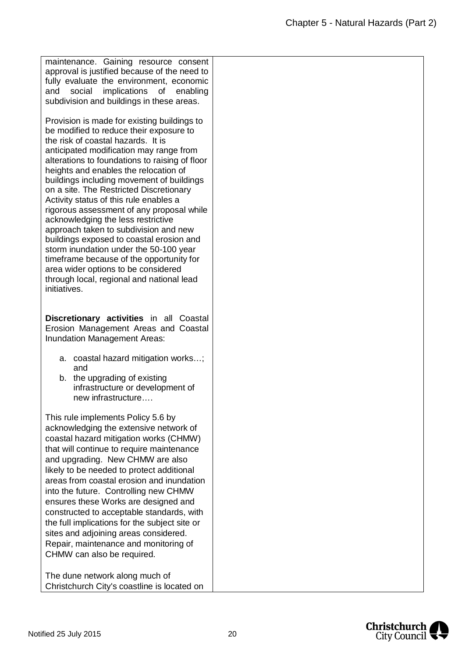maintenance. Gaining resource consent approval is justified because of the need to fully evaluate the environment, economic and social implications of enabling subdivision and buildings in these areas.

Provision is made for existing buildings to be modified to reduce their exposure to the risk of coastal hazards. It is anticipated modification may range from alterations to foundations to raising of floor heights and enables the relocation of buildings including movement of buildings on a site. The Restricted Discretionary Activity status of this rule enables a rigorous assessment of any proposal while acknowledging the less restrictive approach taken to subdivision and new buildings exposed to coastal erosion and storm inundation under the 50-100 year timeframe because of the opportunity for area wider options to be considered through local, regional and national lead initiatives.

**Discretionary activities** in all Coastal Erosion Management Areas and Coastal Inundation Management Areas:

- a. coastal hazard mitigation works…; and
- b. the upgrading of existing infrastructure or development of new infrastructure….

This rule implements Policy 5.6 by acknowledging the extensive network of coastal hazard mitigation works (CHMW) that will continue to require maintenance and upgrading. New CHMW are also likely to be needed to protect additional areas from coastal erosion and inundation into the future. Controlling new CHMW ensures these Works are designed and constructed to acceptable standards, with the full implications for the subject site or sites and adjoining areas considered. Repair, maintenance and monitoring of CHMW can also be required.

The dune network along much of Christchurch City's coastline is located on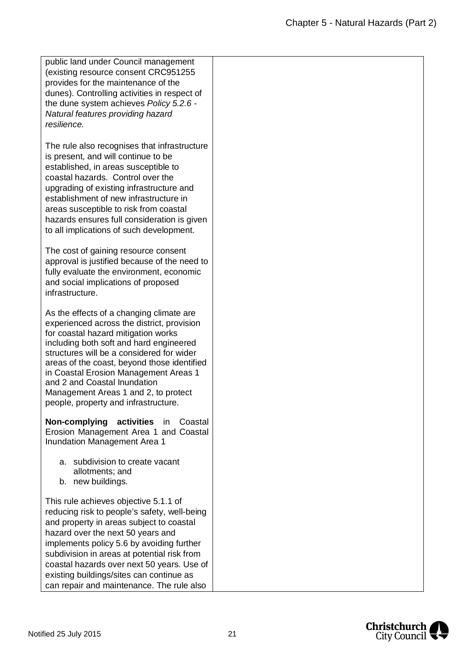| public land under Council management<br>(existing resource consent CRC951255)<br>provides for the maintenance of the<br>dunes). Controlling activities in respect of<br>the dune system achieves Policy 5.2.6 -<br>Natural features providing hazard<br>resilience.                                                                                                                                                           |  |
|-------------------------------------------------------------------------------------------------------------------------------------------------------------------------------------------------------------------------------------------------------------------------------------------------------------------------------------------------------------------------------------------------------------------------------|--|
| The rule also recognises that infrastructure<br>is present, and will continue to be<br>established, in areas susceptible to<br>coastal hazards. Control over the<br>upgrading of existing infrastructure and<br>establishment of new infrastructure in<br>areas susceptible to risk from coastal<br>hazards ensures full consideration is given<br>to all implications of such development.                                   |  |
| The cost of gaining resource consent<br>approval is justified because of the need to<br>fully evaluate the environment, economic<br>and social implications of proposed<br>infrastructure.                                                                                                                                                                                                                                    |  |
| As the effects of a changing climate are<br>experienced across the district, provision<br>for coastal hazard mitigation works<br>including both soft and hard engineered<br>structures will be a considered for wider<br>areas of the coast, beyond those identified<br>in Coastal Erosion Management Areas 1<br>and 2 and Coastal Inundation<br>Management Areas 1 and 2, to protect<br>people, property and infrastructure. |  |
| Non-complying<br>activities<br>in<br>Coastal<br>Erosion Management Area 1 and Coastal<br>Inundation Management Area 1                                                                                                                                                                                                                                                                                                         |  |
| subdivision to create vacant<br>a.<br>allotments; and<br>b. new buildings.                                                                                                                                                                                                                                                                                                                                                    |  |
| This rule achieves objective 5.1.1 of<br>reducing risk to people's safety, well-being<br>and property in areas subject to coastal<br>hazard over the next 50 years and<br>implements policy 5.6 by avoiding further<br>subdivision in areas at potential risk from<br>coastal hazards over next 50 years. Use of<br>existing buildings/sites can continue as<br>can repair and maintenance. The rule also                     |  |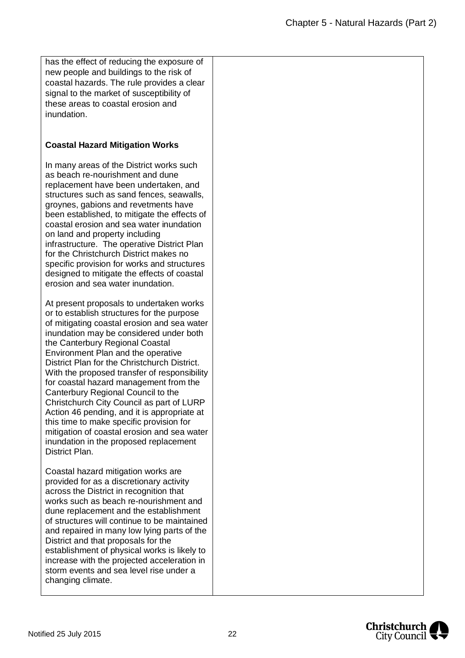has the effect of reducing the exposure of new people and buildings to the risk of coastal hazards. The rule provides a clear signal to the market of susceptibility of these areas to coastal erosion and inundation.

## **Coastal Hazard Mitigation Works**

In many areas of the District works such as beach re-nourishment and dune replacement have been undertaken, and structures such as sand fences, seawalls. groynes, gabions and revetments have been established, to mitigate the effects of coastal erosion and sea water inundation on land and property including infrastructure. The operative District Plan for the Christchurch District makes no specific provision for works and structures designed to mitigate the effects of coastal erosion and sea water inundation.

At present proposals to undertaken works or to establish structures for the purpose of mitigating coastal erosion and sea water inundation may be considered under both the Canterbury Regional Coastal Environment Plan and the operative District Plan for the Christchurch District. With the proposed transfer of responsibility for coastal hazard management from the Canterbury Regional Council to the Christchurch City Council as part of LURP Action 46 pending, and it is appropriate at this time to make specific provision for mitigation of coastal erosion and sea water inundation in the proposed replacement District Plan.

Coastal hazard mitigation works are provided for as a discretionary activity across the District in recognition that works such as beach re-nourishment and dune replacement and the establishment of structures will continue to be maintained and repaired in many low lying parts of the District and that proposals for the establishment of physical works is likely to increase with the projected acceleration in storm events and sea level rise under a changing climate.